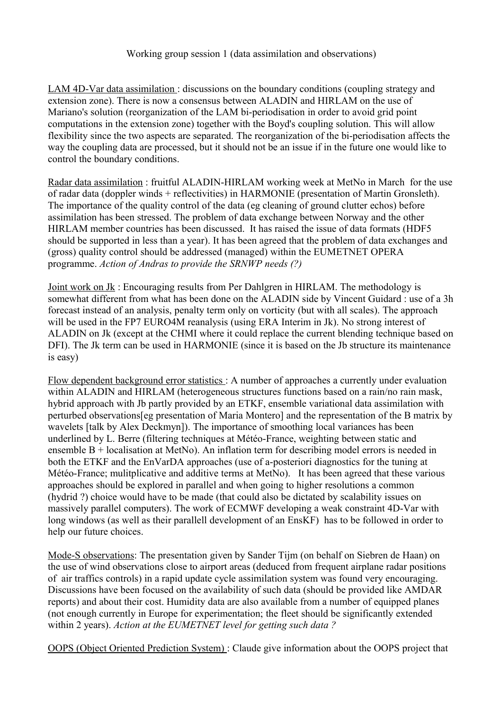## Working group session 1 (data assimilation and observations)

LAM 4D-Var data assimilation : discussions on the boundary conditions (coupling strategy and extension zone). There is now a consensus between ALADIN and HIRLAM on the use of Mariano's solution (reorganization of the LAM bi-periodisation in order to avoid grid point computations in the extension zone) together with the Boyd's coupling solution. This will allow flexibility since the two aspects are separated. The reorganization of the bi-periodisation affects the way the coupling data are processed, but it should not be an issue if in the future one would like to control the boundary conditions.

Radar data assimilation : fruitful ALADIN-HIRLAM working week at MetNo in March for the use of radar data (doppler winds + reflectivities) in HARMONIE (presentation of Martin Gronsleth). The importance of the quality control of the data (eg cleaning of ground clutter echos) before assimilation has been stressed. The problem of data exchange between Norway and the other HIRLAM member countries has been discussed. It has raised the issue of data formats (HDF5 should be supported in less than a year). It has been agreed that the problem of data exchanges and (gross) quality control should be addressed (managed) within the EUMETNET OPERA programme. *Action of Andras to provide the SRNWP needs (?)*

Joint work on Jk : Encouraging results from Per Dahlgren in HIRLAM. The methodology is somewhat different from what has been done on the ALADIN side by Vincent Guidard : use of a 3h forecast instead of an analysis, penalty term only on vorticity (but with all scales). The approach will be used in the FP7 EURO4M reanalysis (using ERA Interim in Jk). No strong interest of ALADIN on Jk (except at the CHMI where it could replace the current blending technique based on DFI). The Jk term can be used in HARMONIE (since it is based on the Jb structure its maintenance is easy)

Flow dependent background error statistics : A number of approaches a currently under evaluation within ALADIN and HIRLAM (heterogeneous structures functions based on a rain/no rain mask, hybrid approach with Jb partly provided by an ETKF, ensemble variational data assimilation with perturbed observations[eg presentation of Maria Montero] and the representation of the B matrix by wavelets [talk by Alex Deckmyn]). The importance of smoothing local variances has been underlined by L. Berre (filtering techniques at Météo-France, weighting between static and ensemble B + localisation at MetNo). An inflation term for describing model errors is needed in both the ETKF and the EnVarDA approaches (use of a-posteriori diagnostics for the tuning at Météo-France; mulitplicative and additive terms at MetNo). It has been agreed that these various approaches should be explored in parallel and when going to higher resolutions a common (hydrid ?) choice would have to be made (that could also be dictated by scalability issues on massively parallel computers). The work of ECMWF developing a weak constraint 4D-Var with long windows (as well as their parallell development of an EnsKF) has to be followed in order to help our future choices.

Mode-S observations: The presentation given by Sander Tijm (on behalf on Siebren de Haan) on the use of wind observations close to airport areas (deduced from frequent airplane radar positions of air traffics controls) in a rapid update cycle assimilation system was found very encouraging. Discussions have been focused on the availability of such data (should be provided like AMDAR reports) and about their cost. Humidity data are also available from a number of equipped planes (not enough currently in Europe for experimentation; the fleet should be significantly extended within 2 years). *Action at the EUMETNET level for getting such data ?*

OOPS (Object Oriented Prediction System) : Claude give information about the OOPS project that